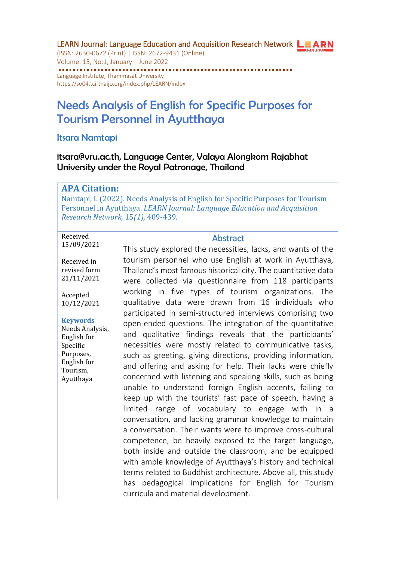LEARN Journal: Language Education and Acquisition Research Network LEARN (ISSN: 2630-0672 (Print) | ISSN: 2672-9431 (Online) Volume: 15, No:1, January – June 2022 ........................ Language Institute, Thammasat University <https://so04.tci-thaijo.org/index.php/LEARN/index>

# Needs Analysis of English for Specific Purposes for Tourism Personnel in Ayutthaya

Itsara Namtapi

itsara@vru.ac.th, Language Center, Valaya Alongkorn Rajabhat University under the Royal Patronage, Thailand

#### **APA Citation:**

Namtapi, I. (2022). Needs Analysis of English for Specific Purposes for Tourism Personnel in Ayutthaya. *LEARN Journal: Language Education and Acquisition Research Network,* 15*(1),* 409-439.

#### Received 15/09/2021

Received in revised form 21/11/2021

Accepted 10/12/2021

**Keywords** Needs Analysis, English for Specific Purposes, English for Tourism, Ayutthaya

#### **Abstract**

This study explored the necessities, lacks, and wants of the tourism personnel who use English at work in Ayutthaya, Thailand's most famous historical city. The quantitative data were collected via questionnaire from 118 participants working in five types of tourism organizations. The qualitative data were drawn from 16 individuals who participated in semi-structured interviews comprising two open-ended questions. The integration of the quantitative and qualitative findings reveals that the participants' necessities were mostly related to communicative tasks, such as greeting, giving directions, providing information, and offering and asking for help. Their lacks were chiefly concerned with listening and speaking skills, such as being unable to understand foreign English accents, failing to keep up with the tourists' fast pace of speech, having a limited range of vocabulary to engage with in a conversation, and lacking grammar knowledge to maintain a conversation. Their wants were to improve cross-cultural competence, be heavily exposed to the target language, both inside and outside the classroom, and be equipped with ample knowledge of Ayutthaya's history and technical terms related to Buddhist architecture. Above all, this study has pedagogical implications for English for Tourism curricula and material development.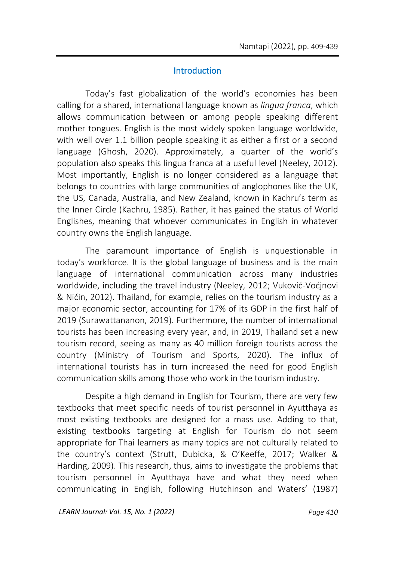### **Introduction**

Today's fast globalization of the world's economies has been calling for a shared, international language known as *lingua franca*, which allows communication between or among people speaking different mother tongues. English is the most widely spoken language worldwide, with well over 1.1 billion people speaking it as either a first or a second language (Ghosh, 2020). Approximately, a quarter of the world's population also speaks this lingua franca at a useful level (Neeley, 2012). Most importantly, English is no longer considered as a language that belongs to countries with large communities of anglophones like the UK, the US, Canada, Australia, and New Zealand, known in Kachru's term as the Inner Circle (Kachru, 1985). Rather, it has gained the status of World Englishes, meaning that whoever communicates in English in whatever country owns the English language.

The paramount importance of English is unquestionable in today's workforce. It is the global language of business and is the main language of international communication across many industries worldwide, including the travel industry (Neeley, 2012; Vuković-Voćjnovi & Nićin, 2012). Thailand, for example, relies on the tourism industry as a major economic sector, accounting for 17% of its GDP in the first half of 2019 (Surawattananon, 2019). Furthermore, the number of international tourists has been increasing every year, and, in 2019, Thailand set a new tourism record, seeing as many as 40 million foreign tourists across the country (Ministry of Tourism and Sports, 2020). The influx of international tourists has in turn increased the need for good English communication skills among those who work in the tourism industry.

Despite a high demand in English for Tourism, there are very few textbooks that meet specific needs of tourist personnel in Ayutthaya as most existing textbooks are designed for a mass use. Adding to that, existing textbooks targeting at English for Tourism do not seem appropriate for Thai learners as many topics are not culturally related to the country's context (Strutt, Dubicka, & O'Keeffe, 2017; Walker & Harding, 2009). This research, thus, aims to investigate the problems that tourism personnel in Ayutthaya have and what they need when communicating in English, following Hutchinson and Waters' (1987)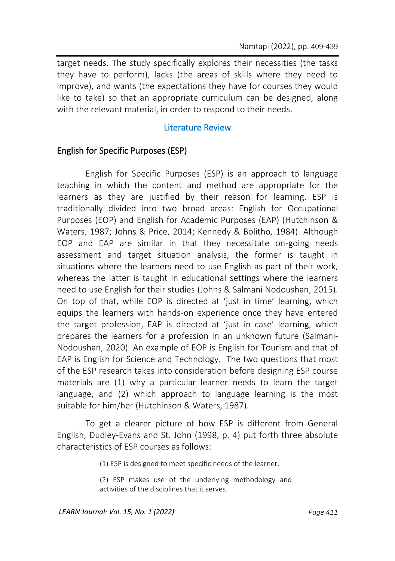target needs. The study specifically explores their necessities (the tasks they have to perform), lacks (the areas of skills where they need to improve), and wants (the expectations they have for courses they would like to take) so that an appropriate curriculum can be designed, along with the relevant material, in order to respond to their needs.

### Literature Review

### English for Specific Purposes (ESP)

English for Specific Purposes (ESP) is an approach to language teaching in which the content and method are appropriate for the learners as they are justified by their reason for learning. ESP is traditionally divided into two broad areas: English for Occupational Purposes (EOP) and English for Academic Purposes (EAP) (Hutchinson & Waters, 1987; Johns & Price, 2014; Kennedy & Bolitho, 1984). Although EOP and EAP are similar in that they necessitate on-going needs assessment and target situation analysis, the former is taught in situations where the learners need to use English as part of their work, whereas the latter is taught in educational settings where the learners need to use English for their studies (Johns & Salmani Nodoushan, 2015). On top of that, while EOP is directed at 'just in time' learning, which equips the learners with hands-on experience once they have entered the target profession, EAP is directed at 'just in case' learning, which prepares the learners for a profession in an unknown future (Salmani-Nodoushan, 2020). An example of EOP is English for Tourism and that of EAP is English for Science and Technology. The two questions that most of the ESP research takes into consideration before designing ESP course materials are (1) why a particular learner needs to learn the target language, and (2) which approach to language learning is the most suitable for him/her (Hutchinson & Waters, 1987).

To get a clearer picture of how ESP is different from General English, Dudley-Evans and St. John (1998, p. 4) put forth three absolute characteristics of ESP courses as follows:

(1) ESP is designed to meet specific needs of the learner.

(2) ESP makes use of the underlying methodology and activities of the disciplines that it serves.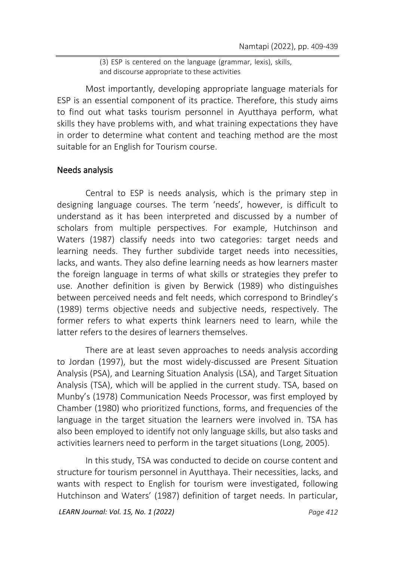(3) ESP is centered on the language (grammar, lexis), skills, and discourse appropriate to these activities

Most importantly, developing appropriate language materials for ESP is an essential component of its practice. Therefore, this study aims to find out what tasks tourism personnel in Ayutthaya perform, what skills they have problems with, and what training expectations they have in order to determine what content and teaching method are the most suitable for an English for Tourism course.

### Needs analysis

Central to ESP is needs analysis, which is the primary step in designing language courses. The term 'needs', however, is difficult to understand as it has been interpreted and discussed by a number of scholars from multiple perspectives. For example, Hutchinson and Waters (1987) classify needs into two categories: target needs and learning needs. They further subdivide target needs into necessities, lacks, and wants. They also define learning needs as how learners master the foreign language in terms of what skills or strategies they prefer to use. Another definition is given by Berwick (1989) who distinguishes between perceived needs and felt needs, which correspond to Brindley's (1989) terms objective needs and subjective needs, respectively. The former refers to what experts think learners need to learn, while the latter refers to the desires of learners themselves.

There are at least seven approaches to needs analysis according to Jordan (1997), but the most widely-discussed are Present Situation Analysis (PSA), and Learning Situation Analysis (LSA), and Target Situation Analysis (TSA), which will be applied in the current study. TSA, based on Munby's (1978) Communication Needs Processor, was first employed by Chamber (1980) who prioritized functions, forms, and frequencies of the language in the target situation the learners were involved in. TSA has also been employed to identify not only language skills, but also tasks and activities learners need to perform in the target situations (Long, 2005).

In this study, TSA was conducted to decide on course content and structure for tourism personnel in Ayutthaya. Their necessities, lacks, and wants with respect to English for tourism were investigated, following Hutchinson and Waters' (1987) definition of target needs. In particular,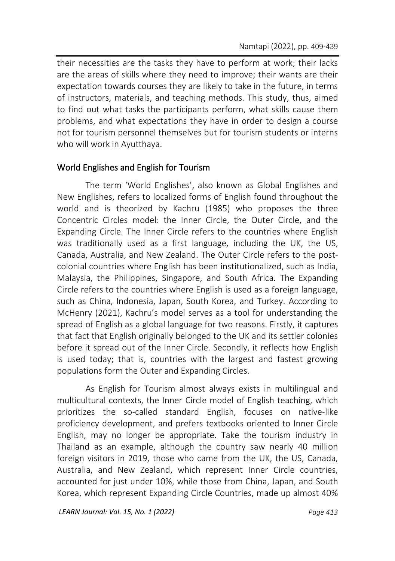their necessities are the tasks they have to perform at work; their lacks are the areas of skills where they need to improve; their wants are their expectation towards courses they are likely to take in the future, in terms of instructors, materials, and teaching methods. This study, thus, aimed to find out what tasks the participants perform, what skills cause them problems, and what expectations they have in order to design a course not for tourism personnel themselves but for tourism students or interns who will work in Ayutthaya.

### World Englishes and English for Tourism

The term 'World Englishes', also known as Global Englishes and New Englishes, refers to localized forms of English found throughout the world and is theorized by Kachru (1985) who proposes the three Concentric Circles model: the Inner Circle, the Outer Circle, and the Expanding Circle. The Inner Circle refers to the countries where English was traditionally used as a first language, including the UK, the US, Canada, Australia, and New Zealand. The Outer Circle refers to the postcolonial countries where English has been institutionalized, such as India, Malaysia, the Philippines, Singapore, and South Africa. The Expanding Circle refers to the countries where English is used as a foreign language, such as China, Indonesia, Japan, South Korea, and Turkey. According to McHenry (2021), Kachru's model serves as a tool for understanding the spread of English as a global language for two reasons. Firstly, it captures that fact that English originally belonged to the UK and its settler colonies before it spread out of the Inner Circle. Secondly, it reflects how English is used today; that is, countries with the largest and fastest growing populations form the Outer and Expanding Circles.

As English for Tourism almost always exists in multilingual and multicultural contexts, the Inner Circle model of English teaching, which prioritizes the so-called standard English, focuses on native-like proficiency development, and prefers textbooks oriented to Inner Circle English, may no longer be appropriate. Take the tourism industry in Thailand as an example, although the country saw nearly 40 million foreign visitors in 2019, those who came from the UK, the US, Canada, Australia, and New Zealand, which represent Inner Circle countries, accounted for just under 10%, while those from China, Japan, and South Korea, which represent Expanding Circle Countries, made up almost 40%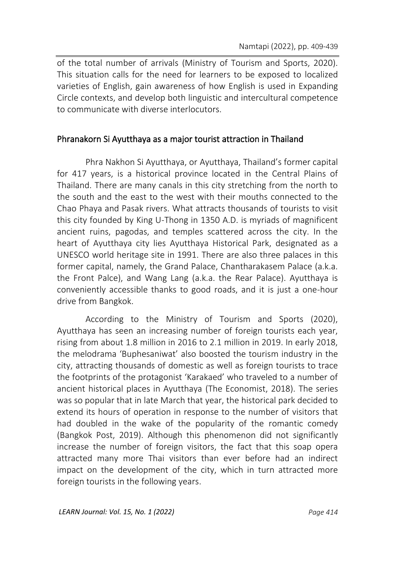of the total number of arrivals (Ministry of Tourism and Sports, 2020). This situation calls for the need for learners to be exposed to localized varieties of English, gain awareness of how English is used in Expanding Circle contexts, and develop both linguistic and intercultural competence to communicate with diverse interlocutors.

### Phranakorn Si Ayutthaya as a major tourist attraction in Thailand

Phra Nakhon Si Ayutthaya, or Ayutthaya, Thailand's former capital for 417 years, is a historical province located in the Central Plains of Thailand. There are many canals in this city stretching from the north to the south and the east to the west with their mouths connected to the Chao Phaya and Pasak rivers. What attracts thousands of tourists to visit this city founded by King U-Thong in 1350 A.D. is myriads of magnificent ancient ruins, pagodas, and temples scattered across the city. In the heart of Ayutthaya city lies Ayutthaya Historical Park, designated as a UNESCO world heritage site in 1991. There are also three palaces in this former capital, namely, the Grand Palace, Chantharakasem Palace (a.k.a. the Front Palce), and Wang Lang (a.k.a. the Rear Palace). Ayutthaya is conveniently accessible thanks to good roads, and it is just a one-hour drive from Bangkok.

According to the Ministry of Tourism and Sports (2020), Ayutthaya has seen an increasing number of foreign tourists each year, rising from about 1.8 million in 2016 to 2.1 million in 2019. In early 2018, the melodrama 'Buphesaniwat' also boosted the tourism industry in the city, attracting thousands of domestic as well as foreign tourists to trace the footprints of the protagonist 'Karakaed' who traveled to a number of ancient historical places in Ayutthaya (The Economist, 2018). The series was so popular that in late March that year, the historical park decided to extend its hours of operation in response to the number of visitors that had doubled in the wake of the popularity of the romantic comedy (Bangkok Post, 2019). Although this phenomenon did not significantly increase the number of foreign visitors, the fact that this soap opera attracted many more Thai visitors than ever before had an indirect impact on the development of the city, which in turn attracted more foreign tourists in the following years.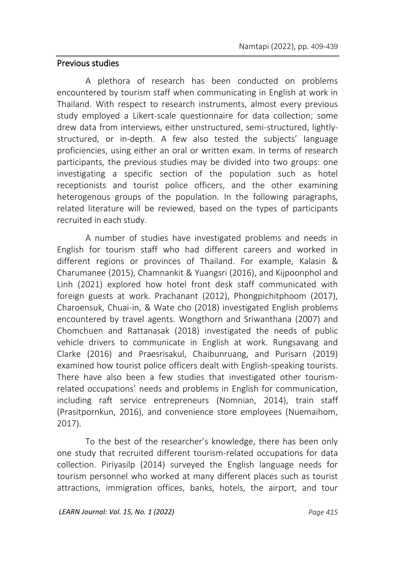### Previous studies

A plethora of research has been conducted on problems encountered by tourism staff when communicating in English at work in Thailand. With respect to research instruments, almost every previous study employed a Likert-scale questionnaire for data collection; some drew data from interviews, either unstructured, semi-structured, lightlystructured, or in-depth. A few also tested the subjects' language proficiencies, using either an oral or written exam. In terms of research participants, the previous studies may be divided into two groups: one investigating a specific section of the population such as hotel receptionists and tourist police officers, and the other examining heterogenous groups of the population. In the following paragraphs, related literature will be reviewed, based on the types of participants recruited in each study.

A number of studies have investigated problems and needs in English for tourism staff who had different careers and worked in different regions or provinces of Thailand. For example, Kalasin & Charumanee (2015), Chamnankit & Yuangsri (2016), and Kijpoonphol and Linh (2021) explored how hotel front desk staff communicated with foreign guests at work. Prachanant (2012), Phongpichitphoom (2017), Charoensuk, Chuai-in, & Wate cho (2018) investigated English problems encountered by travel agents. Wongthorn and Sriwanthana (2007) and Chomchuen and Rattanasak (2018) investigated the needs of public vehicle drivers to communicate in English at work. Rungsavang and Clarke (2016) and Praesrisakul, Chaibunruang, and Purisarn (2019) examined how tourist police officers dealt with English-speaking tourists. There have also been a few studies that investigated other tourismrelated occupations' needs and problems in English for communication, including raft service entrepreneurs (Nomnian, 2014), train staff (Prasitpornkun, 2016), and convenience store employees (Nuemaihom, 2017).

To the best of the researcher's knowledge, there has been only one study that recruited different tourism-related occupations for data collection. Piriyasilp (2014) surveyed the English language needs for tourism personnel who worked at many different places such as tourist attractions, immigration offices, banks, hotels, the airport, and tour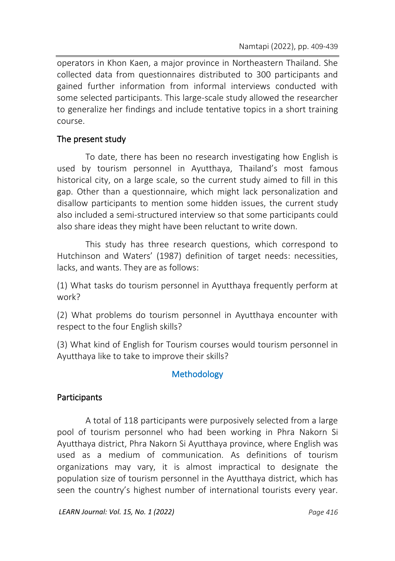operators in Khon Kaen, a major province in Northeastern Thailand. She collected data from questionnaires distributed to 300 participants and gained further information from informal interviews conducted with some selected participants. This large-scale study allowed the researcher to generalize her findings and include tentative topics in a short training course.

### The present study

To date, there has been no research investigating how English is used by tourism personnel in Ayutthaya, Thailand's most famous historical city, on a large scale, so the current study aimed to fill in this gap. Other than a questionnaire, which might lack personalization and disallow participants to mention some hidden issues, the current study also included a semi-structured interview so that some participants could also share ideas they might have been reluctant to write down.

This study has three research questions, which correspond to Hutchinson and Waters' (1987) definition of target needs: necessities, lacks, and wants. They are as follows:

(1) What tasks do tourism personnel in Ayutthaya frequently perform at work?

(2) What problems do tourism personnel in Ayutthaya encounter with respect to the four English skills?

(3) What kind of English for Tourism courses would tourism personnel in Ayutthaya like to take to improve their skills?

### **Methodology**

### Participants

A total of 118 participants were purposively selected from a large pool of tourism personnel who had been working in Phra Nakorn Si Ayutthaya district, Phra Nakorn Si Ayutthaya province, where English was used as a medium of communication. As definitions of tourism organizations may vary, it is almost impractical to designate the population size of tourism personnel in the Ayutthaya district, which has seen the country's highest number of international tourists every year.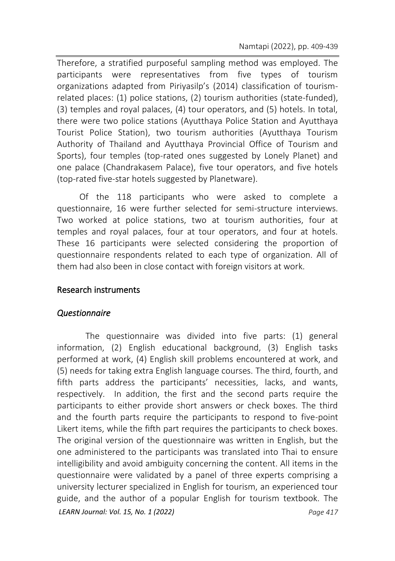Therefore, a stratified purposeful sampling method was employed. The participants were representatives from five types of tourism organizations adapted from Piriyasilp's (2014) classification of tourismrelated places: (1) police stations, (2) tourism authorities (state-funded), (3) temples and royal palaces, (4) tour operators, and (5) hotels. In total, there were two police stations (Ayutthaya Police Station and Ayutthaya Tourist Police Station), two tourism authorities (Ayutthaya Tourism Authority of Thailand and Ayutthaya Provincial Office of Tourism and Sports), four temples (top-rated ones suggested by Lonely Planet) and one palace (Chandrakasem Palace), five tour operators, and five hotels (top-rated five-star hotels suggested by Planetware).

Of the 118 participants who were asked to complete a questionnaire, 16 were further selected for semi-structure interviews. Two worked at police stations, two at tourism authorities, four at temples and royal palaces, four at tour operators, and four at hotels. These 16 participants were selected considering the proportion of questionnaire respondents related to each type of organization. All of them had also been in close contact with foreign visitors at work.

### Research instruments

### *Questionnaire*

*LEARN Journal: Vol. 15, No. 1 (2022) Page 417* The questionnaire was divided into five parts: (1) general information, (2) English educational background, (3) English tasks performed at work, (4) English skill problems encountered at work, and (5) needs for taking extra English language courses. The third, fourth, and fifth parts address the participants' necessities, lacks, and wants, respectively. In addition, the first and the second parts require the participants to either provide short answers or check boxes. The third and the fourth parts require the participants to respond to five-point Likert items, while the fifth part requires the participants to check boxes. The original version of the questionnaire was written in English, but the one administered to the participants was translated into Thai to ensure intelligibility and avoid ambiguity concerning the content. All items in the questionnaire were validated by a panel of three experts comprising a university lecturer specialized in English for tourism, an experienced tour guide, and the author of a popular English for tourism textbook. The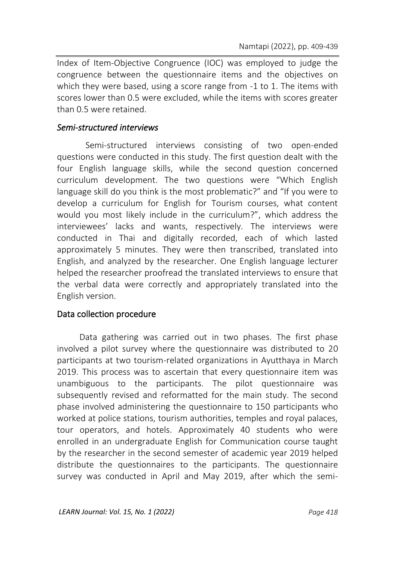Index of Item-Objective Congruence (IOC) was employed to judge the congruence between the questionnaire items and the objectives on which they were based, using a score range from -1 to 1. The items with scores lower than 0.5 were excluded, while the items with scores greater than 0.5 were retained.

### *Semi-structured interviews*

Semi-structured interviews consisting of two open-ended questions were conducted in this study. The first question dealt with the four English language skills, while the second question concerned curriculum development. The two questions were "Which English language skill do you think is the most problematic?" and "If you were to develop a curriculum for English for Tourism courses, what content would you most likely include in the curriculum?", which address the interviewees' lacks and wants, respectively. The interviews were conducted in Thai and digitally recorded, each of which lasted approximately 5 minutes. They were then transcribed, translated into English, and analyzed by the researcher. One English language lecturer helped the researcher proofread the translated interviews to ensure that the verbal data were correctly and appropriately translated into the English version.

### Data collection procedure

Data gathering was carried out in two phases. The first phase involved a pilot survey where the questionnaire was distributed to 20 participants at two tourism-related organizations in Ayutthaya in March 2019. This process was to ascertain that every questionnaire item was unambiguous to the participants. The pilot questionnaire was subsequently revised and reformatted for the main study. The second phase involved administering the questionnaire to 150 participants who worked at police stations, tourism authorities, temples and royal palaces, tour operators, and hotels. Approximately 40 students who were enrolled in an undergraduate English for Communication course taught by the researcher in the second semester of academic year 2019 helped distribute the questionnaires to the participants. The questionnaire survey was conducted in April and May 2019, after which the semi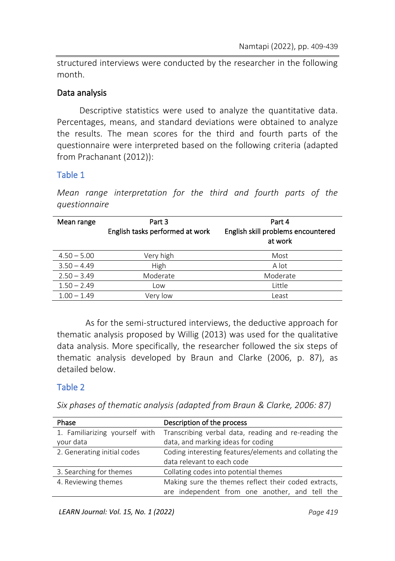structured interviews were conducted by the researcher in the following month.

### Data analysis

Descriptive statistics were used to analyze the quantitative data. Percentages, means, and standard deviations were obtained to analyze the results. The mean scores for the third and fourth parts of the questionnaire were interpreted based on the following criteria (adapted from Prachanant (2012)):

### Table 1

*Mean range interpretation for the third and fourth parts of the questionnaire*

| Mean range    | Part 3<br>English tasks performed at work | Part 4<br>English skill problems encountered<br>at work |
|---------------|-------------------------------------------|---------------------------------------------------------|
| $4.50 - 5.00$ | Very high                                 | Most                                                    |
| $3.50 - 4.49$ | High                                      | A lot                                                   |
| $2.50 - 3.49$ | Moderate                                  | Moderate                                                |
| $1.50 - 2.49$ | Low                                       | Little                                                  |
| $1.00 - 1.49$ | Verv low                                  | Least                                                   |

As for the semi-structured interviews, the deductive approach for thematic analysis proposed by Willig (2013) was used for the qualitative data analysis. More specifically, the researcher followed the six steps of thematic analysis developed by Braun and Clarke (2006, p. 87), as detailed below.

### Table 2

*Six phases of thematic analysis (adapted from Braun & Clarke, 2006: 87)*

| Phase                          | Description of the process                             |  |  |
|--------------------------------|--------------------------------------------------------|--|--|
| 1. Familiarizing yourself with | Transcribing verbal data, reading and re-reading the   |  |  |
| your data                      | data, and marking ideas for coding                     |  |  |
| 2. Generating initial codes    | Coding interesting features/elements and collating the |  |  |
|                                | data relevant to each code                             |  |  |
| 3. Searching for themes        | Collating codes into potential themes                  |  |  |
| 4. Reviewing themes            | Making sure the themes reflect their coded extracts,   |  |  |
|                                | are independent from one another, and tell the         |  |  |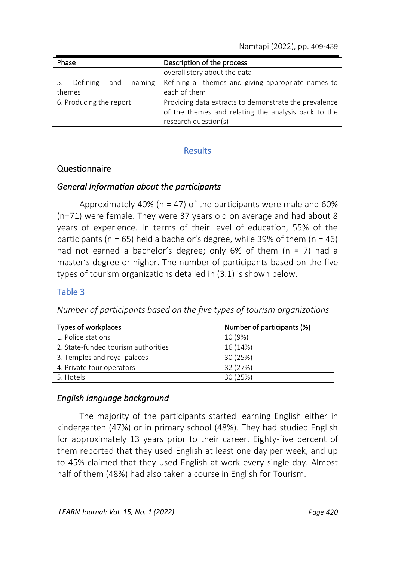| Description of the process<br>Phase |                                                       |
|-------------------------------------|-------------------------------------------------------|
|                                     | overall story about the data                          |
| 5. Defining<br>naming<br>and        | Refining all themes and giving appropriate names to   |
| themes                              | each of them                                          |
| 6. Producing the report             | Providing data extracts to demonstrate the prevalence |
|                                     | of the themes and relating the analysis back to the   |
|                                     | research question(s)                                  |

### **Results**

### Questionnaire

### *General Information about the participants*

Approximately 40% (n = 47) of the participants were male and 60% (n=71) were female. They were 37 years old on average and had about 8 years of experience. In terms of their level of education, 55% of the participants ( $n = 65$ ) held a bachelor's degree, while 39% of them ( $n = 46$ ) had not earned a bachelor's degree; only  $6\%$  of them (n = 7) had a master's degree or higher. The number of participants based on the five types of tourism organizations detailed in (3.1) is shown below.

### Table 3

*Number of participants based on the five types of tourism organizations*

| Number of participants (%) |
|----------------------------|
| 10 (9%)                    |
| 16 (14%)                   |
| 30 (25%)                   |
| 32 (27%)                   |
| 30 (25%)                   |
|                            |

### *English language background*

The majority of the participants started learning English either in kindergarten (47%) or in primary school (48%). They had studied English for approximately 13 years prior to their career. Eighty-five percent of them reported that they used English at least one day per week, and up to 45% claimed that they used English at work every single day. Almost half of them (48%) had also taken a course in English for Tourism.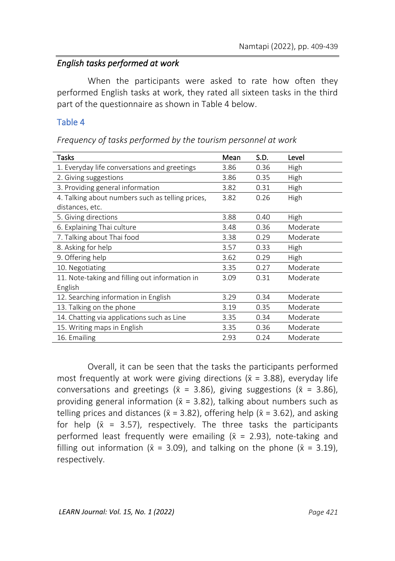### *English tasks performed at work*

When the participants were asked to rate how often they performed English tasks at work, they rated all sixteen tasks in the third part of the questionnaire as shown in Table 4 below.

### Table 4

*Frequency of tasks performed by the tourism personnel at work*

| Tasks                                            | Mean | S.D. | Level    |
|--------------------------------------------------|------|------|----------|
| 1. Everyday life conversations and greetings     | 3.86 | 0.36 | High     |
| 2. Giving suggestions                            | 3.86 | 0.35 | High     |
| 3. Providing general information                 | 3.82 | 0.31 | High     |
| 4. Talking about numbers such as telling prices, | 3.82 | 0.26 | High     |
| distances, etc.                                  |      |      |          |
| 5. Giving directions                             | 3.88 | 0.40 | High     |
| 6. Explaining Thai culture                       | 3.48 | 0.36 | Moderate |
| 7. Talking about Thai food                       | 3.38 | 0.29 | Moderate |
| 8. Asking for help                               | 3.57 | 0.33 | High     |
| 9. Offering help                                 | 3.62 | 0.29 | High     |
| 10. Negotiating                                  | 3.35 | 0.27 | Moderate |
| 11. Note-taking and filling out information in   | 3.09 | 0.31 | Moderate |
| English                                          |      |      |          |
| 12. Searching information in English             | 3.29 | 0.34 | Moderate |
| 13. Talking on the phone                         | 3.19 | 0.35 | Moderate |
| 14. Chatting via applications such as Line       | 3.35 | 0.34 | Moderate |
| 15. Writing maps in English                      | 3.35 | 0.36 | Moderate |
| 16. Emailing                                     | 2.93 | 0.24 | Moderate |

Overall, it can be seen that the tasks the participants performed most frequently at work were giving directions ( $\bar{x}$  = 3.88), everyday life conversations and greetings ( $\bar{x}$  = 3.86), giving suggestions ( $\bar{x}$  = 3.86), providing general information ( $\bar{x}$  = 3.82), talking about numbers such as telling prices and distances ( $\bar{x}$  = 3.82), offering help ( $\bar{x}$  = 3.62), and asking for help ( $\bar{x}$  = 3.57), respectively. The three tasks the participants performed least frequently were emailing ( $\bar{x}$  = 2.93), note-taking and filling out information ( $\bar{x}$  = 3.09), and talking on the phone ( $\bar{x}$  = 3.19), respectively.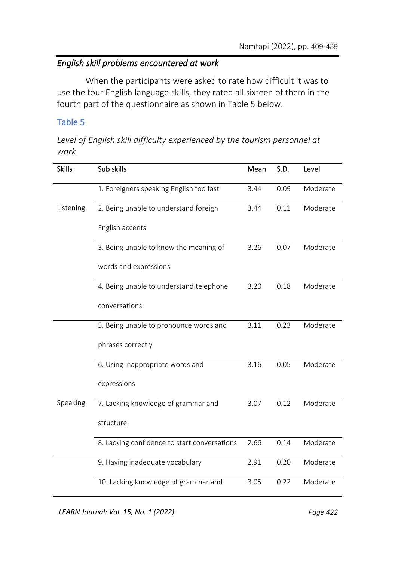### *English skill problems encountered at work*

When the participants were asked to rate how difficult it was to use the four English language skills, they rated all sixteen of them in the fourth part of the questionnaire as shown in Table 5 below.

### Table 5

*Level of English skill difficulty experienced by the tourism personnel at work*

| <b>Skills</b> | Sub skills                                   | Mean | S.D. | Level    |
|---------------|----------------------------------------------|------|------|----------|
|               | 1. Foreigners speaking English too fast      | 3.44 | 0.09 | Moderate |
| Listening     | 2. Being unable to understand foreign        | 3.44 | 0.11 | Moderate |
|               | English accents                              |      |      |          |
|               | 3. Being unable to know the meaning of       | 3.26 | 0.07 | Moderate |
|               | words and expressions                        |      |      |          |
|               | 4. Being unable to understand telephone      | 3.20 | 0.18 | Moderate |
|               | conversations                                |      |      |          |
|               | 5. Being unable to pronounce words and       | 3.11 | 0.23 | Moderate |
|               | phrases correctly                            |      |      |          |
|               | 6. Using inappropriate words and             | 3.16 | 0.05 | Moderate |
|               | expressions                                  |      |      |          |
| Speaking      | 7. Lacking knowledge of grammar and          | 3.07 | 0.12 | Moderate |
|               | structure                                    |      |      |          |
|               | 8. Lacking confidence to start conversations | 2.66 | 0.14 | Moderate |
|               | 9. Having inadequate vocabulary              | 2.91 | 0.20 | Moderate |
|               | 10. Lacking knowledge of grammar and         | 3.05 | 0.22 | Moderate |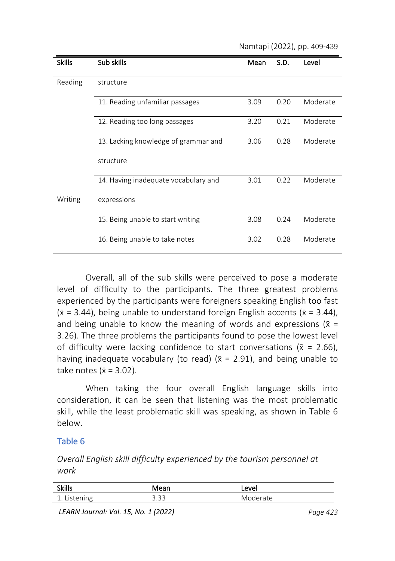Namtapi (2022), pp. 409-439

| <b>Skills</b> | Sub skills                           | Mean | S.D. | Level    |
|---------------|--------------------------------------|------|------|----------|
|               |                                      |      |      |          |
| Reading       | structure                            |      |      |          |
|               | 11. Reading unfamiliar passages      | 3.09 | 0.20 | Moderate |
|               | 12. Reading too long passages        | 3.20 | 0.21 | Moderate |
|               | 13. Lacking knowledge of grammar and | 3.06 | 0.28 | Moderate |
|               | structure                            |      |      |          |
|               | 14. Having inadequate vocabulary and | 3.01 | 0.22 | Moderate |
| Writing       | expressions                          |      |      |          |
|               | 15. Being unable to start writing    | 3.08 | 0.24 | Moderate |
|               | 16. Being unable to take notes       | 3.02 | 0.28 | Moderate |

Overall, all of the sub skills were perceived to pose a moderate level of difficulty to the participants. The three greatest problems experienced by the participants were foreigners speaking English too fast  $({\bar x} = 3.44)$ , being unable to understand foreign English accents ( ${\bar x} = 3.44$ ), and being unable to know the meaning of words and expressions ( $\bar{x}$  = 3.26). The three problems the participants found to pose the lowest level of difficulty were lacking confidence to start conversations ( $\bar{x}$  = 2.66), having inadequate vocabulary (to read) ( $\bar{x}$  = 2.91), and being unable to take notes ( $\bar{x}$  = 3.02).

When taking the four overall English language skills into consideration, it can be seen that listening was the most problematic skill, while the least problematic skill was speaking, as shown in Table 6 below.

### Table 6

*Overall English skill difficulty experienced by the tourism personnel at work*

| $\cdot$<br>۲ki<br>. .                      |                                                   | AVP<br>◡ |
|--------------------------------------------|---------------------------------------------------|----------|
| .<br>$\overline{\phantom{0}}$<br><b>__</b> | $\sim$<br>- 1<br>$\overline{\phantom{a}}$<br>ں ر. |          |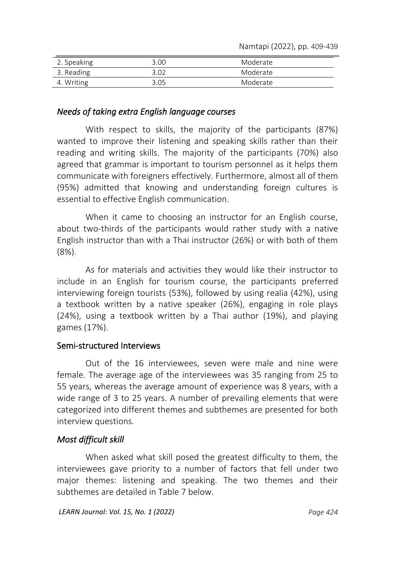Namtapi (2022), pp. 409-439

| 2. Speaking | 3.00  | Moderate |  |
|-------------|-------|----------|--|
| 3. Reading  | 3 N 2 | Moderate |  |
| 4. Writing  | 3 N5  | Moderate |  |

### *Needs of taking extra English language courses*

With respect to skills, the majority of the participants (87%) wanted to improve their listening and speaking skills rather than their reading and writing skills. The majority of the participants (70%) also agreed that grammar is important to tourism personnel as it helps them communicate with foreigners effectively. Furthermore, almost all of them (95%) admitted that knowing and understanding foreign cultures is essential to effective English communication.

When it came to choosing an instructor for an English course, about two-thirds of the participants would rather study with a native English instructor than with a Thai instructor (26%) or with both of them (8%).

As for materials and activities they would like their instructor to include in an English for tourism course, the participants preferred interviewing foreign tourists (53%), followed by using realia (42%), using a textbook written by a native speaker (26%), engaging in role plays (24%), using a textbook written by a Thai author (19%), and playing games (17%).

### Semi-structured Interviews

Out of the 16 interviewees, seven were male and nine were female. The average age of the interviewees was 35 ranging from 25 to 55 years, whereas the average amount of experience was 8 years, with a wide range of 3 to 25 years. A number of prevailing elements that were categorized into different themes and subthemes are presented for both interview questions.

### *Most difficult skill*

When asked what skill posed the greatest difficulty to them, the interviewees gave priority to a number of factors that fell under two major themes: listening and speaking. The two themes and their subthemes are detailed in Table 7 below.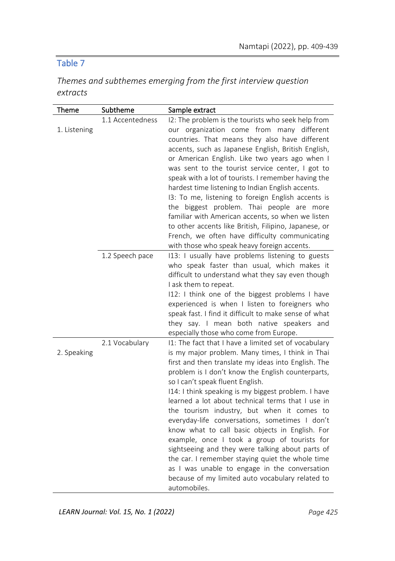## Table 7

| Themes and subthemes emerging from the first interview question |  |  |
|-----------------------------------------------------------------|--|--|
| extracts                                                        |  |  |

| Theme        | Subtheme         | Sample extract                                        |
|--------------|------------------|-------------------------------------------------------|
|              | 1.1 Accentedness | I2: The problem is the tourists who seek help from    |
| 1. Listening |                  | our organization come from many different             |
|              |                  | countries. That means they also have different        |
|              |                  | accents, such as Japanese English, British English,   |
|              |                  | or American English. Like two years ago when I        |
|              |                  | was sent to the tourist service center, I got to      |
|              |                  | speak with a lot of tourists. I remember having the   |
|              |                  | hardest time listening to Indian English accents.     |
|              |                  | 13: To me, listening to foreign English accents is    |
|              |                  | the biggest problem. Thai people are more             |
|              |                  | familiar with American accents, so when we listen     |
|              |                  | to other accents like British, Filipino, Japanese, or |
|              |                  | French, we often have difficulty communicating        |
|              |                  | with those who speak heavy foreign accents.           |
|              | 1.2 Speech pace  | 113: I usually have problems listening to guests      |
|              |                  | who speak faster than usual, which makes it           |
|              |                  | difficult to understand what they say even though     |
|              |                  | I ask them to repeat.                                 |
|              |                  | I12: I think one of the biggest problems I have       |
|              |                  | experienced is when I listen to foreigners who        |
|              |                  | speak fast. I find it difficult to make sense of what |
|              |                  | they say. I mean both native speakers and             |
|              |                  | especially those who come from Europe.                |
|              | 2.1 Vocabulary   | I1: The fact that I have a limited set of vocabulary  |
| 2. Speaking  |                  | is my major problem. Many times, I think in Thai      |
|              |                  | first and then translate my ideas into English. The   |
|              |                  | problem is I don't know the English counterparts,     |
|              |                  | so I can't speak fluent English.                      |
|              |                  | 114: I think speaking is my biggest problem. I have   |
|              |                  | learned a lot about technical terms that I use in     |
|              |                  | the tourism industry, but when it comes to            |
|              |                  | everyday-life conversations, sometimes I don't        |
|              |                  | know what to call basic objects in English. For       |
|              |                  | example, once I took a group of tourists for          |
|              |                  | sightseeing and they were talking about parts of      |
|              |                  | the car. I remember staying quiet the whole time      |
|              |                  | as I was unable to engage in the conversation         |
|              |                  | because of my limited auto vocabulary related to      |
|              |                  | automobiles.                                          |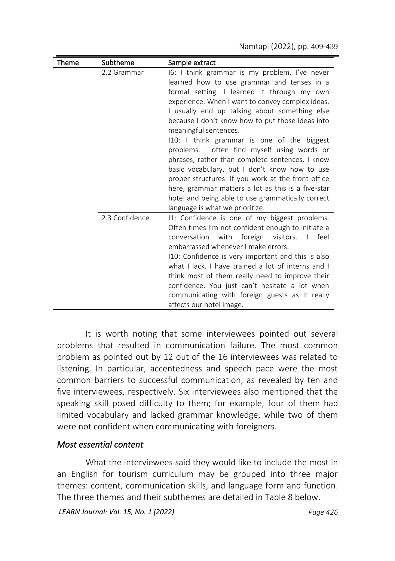| Theme | Subtheme       | Sample extract                                                                                                                                                                                                                                                                                                                                                                                                                                                                                                                                                                                                                                                                                  |
|-------|----------------|-------------------------------------------------------------------------------------------------------------------------------------------------------------------------------------------------------------------------------------------------------------------------------------------------------------------------------------------------------------------------------------------------------------------------------------------------------------------------------------------------------------------------------------------------------------------------------------------------------------------------------------------------------------------------------------------------|
|       | 2.2 Grammar    | 16: I think grammar is my problem. I've never<br>learned how to use grammar and tenses in a<br>formal setting. I learned it through my own<br>experience. When I want to convey complex ideas,<br>I usually end up talking about something else<br>because I don't know how to put those ideas into<br>meaningful sentences.<br>I10: I think grammar is one of the biggest<br>problems. I often find myself using words or<br>phrases, rather than complete sentences. I know<br>basic vocabulary, but I don't know how to use<br>proper structures. If you work at the front office<br>here, grammar matters a lot as this is a five-star<br>hotel and being able to use grammatically correct |
|       | 2.3 Confidence | language is what we prioritize.<br>11: Confidence is one of my biggest problems.<br>Often times I'm not confident enough to initiate a<br>conversation with foreign visitors.<br>$\mathbf{I}$<br>feel<br>embarrassed whenever I make errors.<br>110: Confidence is very important and this is also<br>what I lack. I have trained a lot of interns and I<br>think most of them really need to improve their<br>confidence. You just can't hesitate a lot when<br>communicating with foreign guests as it really<br>affects our hotel image.                                                                                                                                                     |

It is worth noting that some interviewees pointed out several problems that resulted in communication failure. The most common problem as pointed out by 12 out of the 16 interviewees was related to listening. In particular, accentedness and speech pace were the most common barriers to successful communication, as revealed by ten and five interviewees, respectively. Six interviewees also mentioned that the speaking skill posed difficulty to them; for example, four of them had limited vocabulary and lacked grammar knowledge, while two of them were not confident when communicating with foreigners.

### *Most essential content*

What the interviewees said they would like to include the most in an English for tourism curriculum may be grouped into three major themes: content, communication skills, and language form and function. The three themes and their subthemes are detailed in Table 8 below.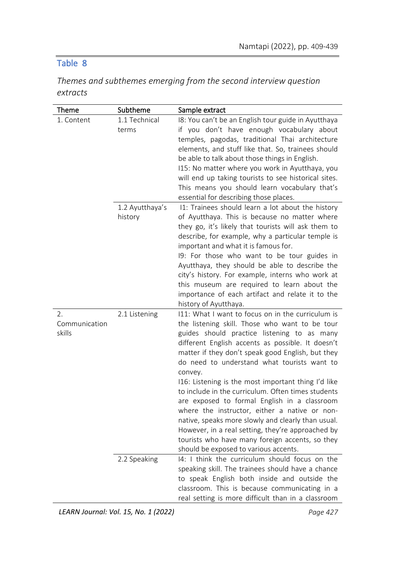# Table 8

|          | Themes and subthemes emerging from the second interview question |  |  |  |
|----------|------------------------------------------------------------------|--|--|--|
| extracts |                                                                  |  |  |  |

| Theme                         | Subtheme                   | Sample extract                                                                                                                                                                                                                                                                                                                                                                                                                                                                                                                                                                                                                                                                                                                              |
|-------------------------------|----------------------------|---------------------------------------------------------------------------------------------------------------------------------------------------------------------------------------------------------------------------------------------------------------------------------------------------------------------------------------------------------------------------------------------------------------------------------------------------------------------------------------------------------------------------------------------------------------------------------------------------------------------------------------------------------------------------------------------------------------------------------------------|
| 1. Content                    | 1.1 Technical<br>terms     | I8: You can't be an English tour guide in Ayutthaya<br>if you don't have enough vocabulary about<br>temples, pagodas, traditional Thai architecture<br>elements, and stuff like that. So, trainees should<br>be able to talk about those things in English.<br>115: No matter where you work in Ayutthaya, you<br>will end up taking tourists to see historical sites.<br>This means you should learn vocabulary that's<br>essential for describing those places.                                                                                                                                                                                                                                                                           |
|                               | 1.2 Ayutthaya's<br>history | 11: Trainees should learn a lot about the history<br>of Ayutthaya. This is because no matter where<br>they go, it's likely that tourists will ask them to<br>describe, for example, why a particular temple is<br>important and what it is famous for.<br>19: For those who want to be tour guides in<br>Ayutthaya, they should be able to describe the<br>city's history. For example, interns who work at<br>this museum are required to learn about the<br>importance of each artifact and relate it to the<br>history of Ayutthaya.                                                                                                                                                                                                     |
| 2.<br>Communication<br>skills | 2.1 Listening              | 111: What I want to focus on in the curriculum is<br>the listening skill. Those who want to be tour<br>guides should practice listening to as many<br>different English accents as possible. It doesn't<br>matter if they don't speak good English, but they<br>do need to understand what tourists want to<br>convey.<br>116: Listening is the most important thing I'd like<br>to include in the curriculum. Often times students<br>are exposed to formal English in a classroom<br>where the instructor, either a native or non-<br>native, speaks more slowly and clearly than usual.<br>However, in a real setting, they're approached by<br>tourists who have many foreign accents, so they<br>should be exposed to various accents. |
|                               | 2.2 Speaking               | 14: I think the curriculum should focus on the<br>speaking skill. The trainees should have a chance<br>to speak English both inside and outside the<br>classroom. This is because communicating in a<br>real setting is more difficult than in a classroom                                                                                                                                                                                                                                                                                                                                                                                                                                                                                  |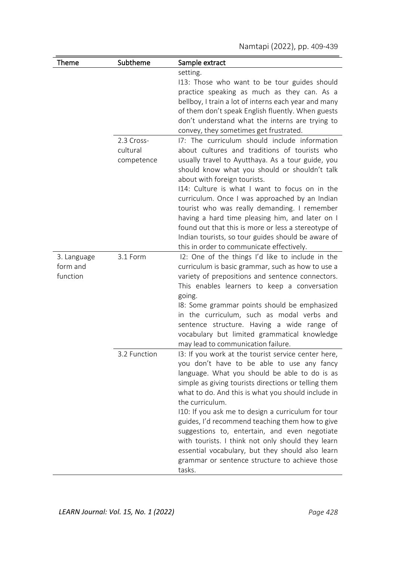| Theme                               | Subtheme                             | Sample extract                                                                                                                                                                                                                                                                                                                                                                                                                                                                                                                                                                                                     |
|-------------------------------------|--------------------------------------|--------------------------------------------------------------------------------------------------------------------------------------------------------------------------------------------------------------------------------------------------------------------------------------------------------------------------------------------------------------------------------------------------------------------------------------------------------------------------------------------------------------------------------------------------------------------------------------------------------------------|
|                                     |                                      | setting.<br>113: Those who want to be tour guides should<br>practice speaking as much as they can. As a<br>bellboy, I train a lot of interns each year and many<br>of them don't speak English fluently. When guests<br>don't understand what the interns are trying to<br>convey, they sometimes get frustrated.                                                                                                                                                                                                                                                                                                  |
|                                     | 2.3 Cross-<br>cultural<br>competence | 17: The curriculum should include information<br>about cultures and traditions of tourists who<br>usually travel to Ayutthaya. As a tour guide, you<br>should know what you should or shouldn't talk<br>about with foreign tourists.<br>114: Culture is what I want to focus on in the<br>curriculum. Once I was approached by an Indian<br>tourist who was really demanding. I remember<br>having a hard time pleasing him, and later on I<br>found out that this is more or less a stereotype of<br>Indian tourists, so tour guides should be aware of<br>this in order to communicate effectively.              |
| 3. Language<br>form and<br>function | 3.1 Form                             | I2: One of the things I'd like to include in the<br>curriculum is basic grammar, such as how to use a<br>variety of prepositions and sentence connectors.<br>This enables learners to keep a conversation<br>going.<br>18: Some grammar points should be emphasized<br>in the curriculum, such as modal verbs and<br>sentence structure. Having a wide range of<br>vocabulary but limited grammatical knowledge<br>may lead to communication failure.                                                                                                                                                              |
|                                     | 3.2 Function                         | 13: If you work at the tourist service center here,<br>you don't have to be able to use any fancy<br>language. What you should be able to do is as<br>simple as giving tourists directions or telling them<br>what to do. And this is what you should include in<br>the curriculum.<br>110: If you ask me to design a curriculum for tour<br>guides, I'd recommend teaching them how to give<br>suggestions to, entertain, and even negotiate<br>with tourists. I think not only should they learn<br>essential vocabulary, but they should also learn<br>grammar or sentence structure to achieve those<br>tasks. |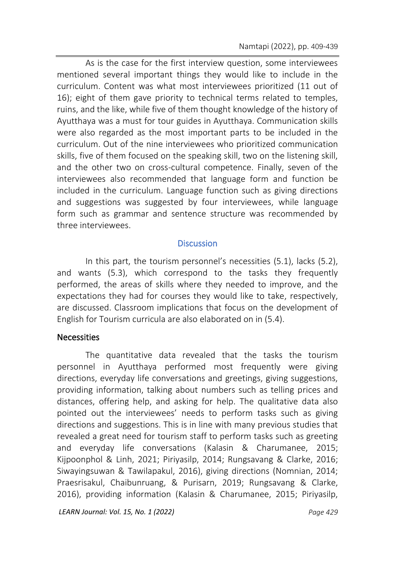As is the case for the first interview question, some interviewees mentioned several important things they would like to include in the curriculum. Content was what most interviewees prioritized (11 out of 16); eight of them gave priority to technical terms related to temples, ruins, and the like, while five of them thought knowledge of the history of Ayutthaya was a must for tour guides in Ayutthaya. Communication skills were also regarded as the most important parts to be included in the curriculum. Out of the nine interviewees who prioritized communication skills, five of them focused on the speaking skill, two on the listening skill, and the other two on cross-cultural competence. Finally, seven of the interviewees also recommended that language form and function be included in the curriculum. Language function such as giving directions and suggestions was suggested by four interviewees, while language form such as grammar and sentence structure was recommended by three interviewees.

#### **Discussion**

In this part, the tourism personnel's necessities (5.1), lacks (5.2), and wants (5.3), which correspond to the tasks they frequently performed, the areas of skills where they needed to improve, and the expectations they had for courses they would like to take, respectively, are discussed. Classroom implications that focus on the development of English for Tourism curricula are also elaborated on in (5.4).

### **Necessities**

The quantitative data revealed that the tasks the tourism personnel in Ayutthaya performed most frequently were giving directions, everyday life conversations and greetings, giving suggestions, providing information, talking about numbers such as telling prices and distances, offering help, and asking for help. The qualitative data also pointed out the interviewees' needs to perform tasks such as giving directions and suggestions. This is in line with many previous studies that revealed a great need for tourism staff to perform tasks such as greeting and everyday life conversations (Kalasin & Charumanee, 2015; Kijpoonphol & Linh, 2021; Piriyasilp, 2014; Rungsavang & Clarke, 2016; Siwayingsuwan & Tawilapakul, 2016), giving directions (Nomnian, 2014; Praesrisakul, Chaibunruang, & Purisarn, 2019; Rungsavang & Clarke, 2016), providing information (Kalasin & Charumanee, 2015; Piriyasilp,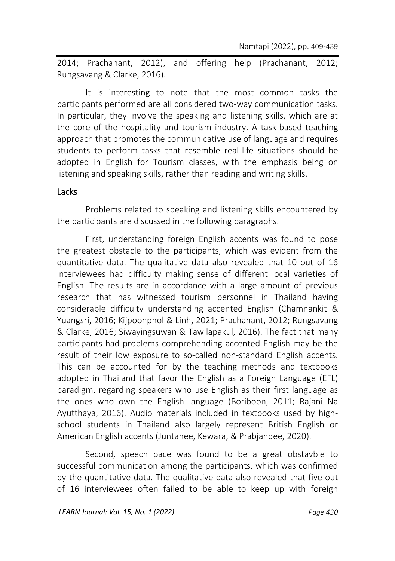2014; Prachanant, 2012), and offering help (Prachanant, 2012; Rungsavang & Clarke, 2016).

It is interesting to note that the most common tasks the participants performed are all considered two-way communication tasks. In particular, they involve the speaking and listening skills, which are at the core of the hospitality and tourism industry. A task-based teaching approach that promotes the communicative use of language and requires students to perform tasks that resemble real-life situations should be adopted in English for Tourism classes, with the emphasis being on listening and speaking skills, rather than reading and writing skills.

#### **Lacks**

Problems related to speaking and listening skills encountered by the participants are discussed in the following paragraphs.

First, understanding foreign English accents was found to pose the greatest obstacle to the participants, which was evident from the quantitative data. The qualitative data also revealed that 10 out of 16 interviewees had difficulty making sense of different local varieties of English. The results are in accordance with a large amount of previous research that has witnessed tourism personnel in Thailand having considerable difficulty understanding accented English (Chamnankit & Yuangsri, 2016; Kijpoonphol & Linh, 2021; Prachanant, 2012; Rungsavang & Clarke, 2016; Siwayingsuwan & Tawilapakul, 2016). The fact that many participants had problems comprehending accented English may be the result of their low exposure to so-called non-standard English accents. This can be accounted for by the teaching methods and textbooks adopted in Thailand that favor the English as a Foreign Language (EFL) paradigm, regarding speakers who use English as their first language as the ones who own the English language (Boriboon, 2011; Rajani Na Ayutthaya, 2016). Audio materials included in textbooks used by highschool students in Thailand also largely represent British English or American English accents (Juntanee, Kewara, & Prabjandee, 2020).

Second, speech pace was found to be a great obstavble to successful communication among the participants, which was confirmed by the quantitative data. The qualitative data also revealed that five out of 16 interviewees often failed to be able to keep up with foreign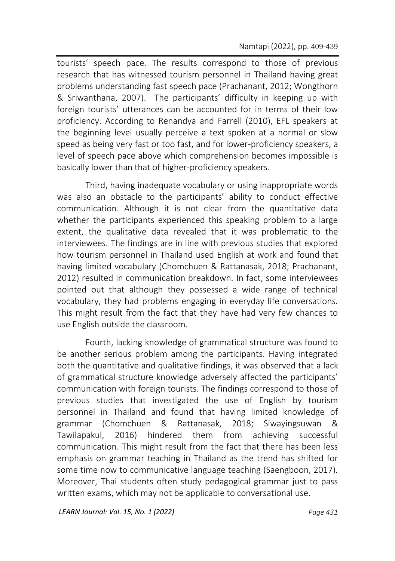tourists' speech pace. The results correspond to those of previous research that has witnessed tourism personnel in Thailand having great problems understanding fast speech pace (Prachanant, 2012; Wongthorn & Sriwanthana, 2007). The participants' difficulty in keeping up with foreign tourists' utterances can be accounted for in terms of their low proficiency. According to Renandya and Farrell (2010), EFL speakers at the beginning level usually perceive a text spoken at a normal or slow speed as being very fast or too fast, and for lower-proficiency speakers, a level of speech pace above which comprehension becomes impossible is basically lower than that of higher-proficiency speakers.

Third, having inadequate vocabulary or using inappropriate words was also an obstacle to the participants' ability to conduct effective communication. Although it is not clear from the quantitative data whether the participants experienced this speaking problem to a large extent, the qualitative data revealed that it was problematic to the interviewees. The findings are in line with previous studies that explored how tourism personnel in Thailand used English at work and found that having limited vocabulary (Chomchuen & Rattanasak, 2018; Prachanant, 2012) resulted in communication breakdown. In fact, some interviewees pointed out that although they possessed a wide range of technical vocabulary, they had problems engaging in everyday life conversations. This might result from the fact that they have had very few chances to use English outside the classroom.

Fourth, lacking knowledge of grammatical structure was found to be another serious problem among the participants. Having integrated both the quantitative and qualitative findings, it was observed that a lack of grammatical structure knowledge adversely affected the participants' communication with foreign tourists. The findings correspond to those of previous studies that investigated the use of English by tourism personnel in Thailand and found that having limited knowledge of grammar (Chomchuen & Rattanasak, 2018; Siwayingsuwan & Tawilapakul, 2016) hindered them from achieving successful communication. This might result from the fact that there has been less emphasis on grammar teaching in Thailand as the trend has shifted for some time now to communicative language teaching (Saengboon, 2017). Moreover, Thai students often study pedagogical grammar just to pass written exams, which may not be applicable to conversational use.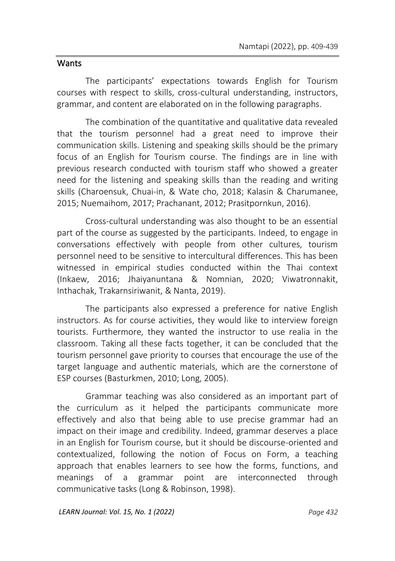### **Wants**

The participants' expectations towards English for Tourism courses with respect to skills, cross-cultural understanding, instructors, grammar, and content are elaborated on in the following paragraphs.

The combination of the quantitative and qualitative data revealed that the tourism personnel had a great need to improve their communication skills. Listening and speaking skills should be the primary focus of an English for Tourism course. The findings are in line with previous research conducted with tourism staff who showed a greater need for the listening and speaking skills than the reading and writing skills (Charoensuk, Chuai-in, & Wate cho, 2018; Kalasin & Charumanee, 2015; Nuemaihom, 2017; Prachanant, 2012; Prasitpornkun, 2016).

Cross-cultural understanding was also thought to be an essential part of the course as suggested by the participants. Indeed, to engage in conversations effectively with people from other cultures, tourism personnel need to be sensitive to intercultural differences. This has been witnessed in empirical studies conducted within the Thai context (Inkaew, 2016; Jhaiyanuntana & Nomnian, 2020; Viwatronnakit, Inthachak, Trakarnsiriwanit, & Nanta, 2019).

The participants also expressed a preference for native English instructors. As for course activities, they would like to interview foreign tourists. Furthermore, they wanted the instructor to use realia in the classroom. Taking all these facts together, it can be concluded that the tourism personnel gave priority to courses that encourage the use of the target language and authentic materials, which are the cornerstone of ESP courses (Basturkmen, 2010; Long, 2005).

Grammar teaching was also considered as an important part of the curriculum as it helped the participants communicate more effectively and also that being able to use precise grammar had an impact on their image and credibility. Indeed, grammar deserves a place in an English for Tourism course, but it should be discourse-oriented and contextualized, following the notion of Focus on Form, a teaching approach that enables learners to see how the forms, functions, and meanings of a grammar point are interconnected through communicative tasks (Long & Robinson, 1998).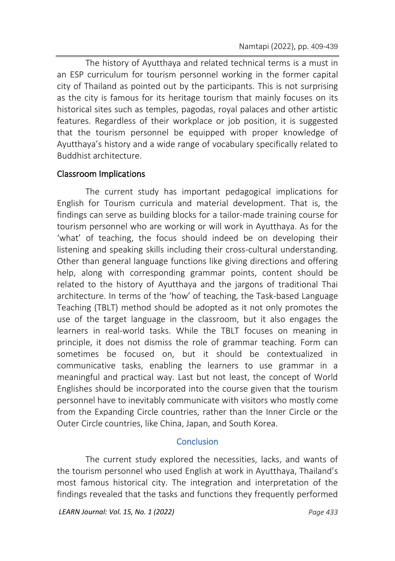The history of Ayutthaya and related technical terms is a must in an ESP curriculum for tourism personnel working in the former capital city of Thailand as pointed out by the participants. This is not surprising as the city is famous for its heritage tourism that mainly focuses on its historical sites such as temples, pagodas, royal palaces and other artistic features. Regardless of their workplace or job position, it is suggested that the tourism personnel be equipped with proper knowledge of Ayutthaya's history and a wide range of vocabulary specifically related to Buddhist architecture.

### Classroom Implications

The current study has important pedagogical implications for English for Tourism curricula and material development. That is, the findings can serve as building blocks for a tailor-made training course for tourism personnel who are working or will work in Ayutthaya. As for the 'what' of teaching, the focus should indeed be on developing their listening and speaking skills including their cross-cultural understanding. Other than general language functions like giving directions and offering help, along with corresponding grammar points, content should be related to the history of Ayutthaya and the jargons of traditional Thai architecture. In terms of the 'how' of teaching, the Task-based Language Teaching (TBLT) method should be adopted as it not only promotes the use of the target language in the classroom, but it also engages the learners in real-world tasks. While the TBLT focuses on meaning in principle, it does not dismiss the role of grammar teaching. Form can sometimes be focused on, but it should be contextualized in communicative tasks, enabling the learners to use grammar in a meaningful and practical way. Last but not least, the concept of World Englishes should be incorporated into the course given that the tourism personnel have to inevitably communicate with visitors who mostly come from the Expanding Circle countries, rather than the Inner Circle or the Outer Circle countries, like China, Japan, and South Korea.

### **Conclusion**

The current study explored the necessities, lacks, and wants of the tourism personnel who used English at work in Ayutthaya, Thailand's most famous historical city. The integration and interpretation of the findings revealed that the tasks and functions they frequently performed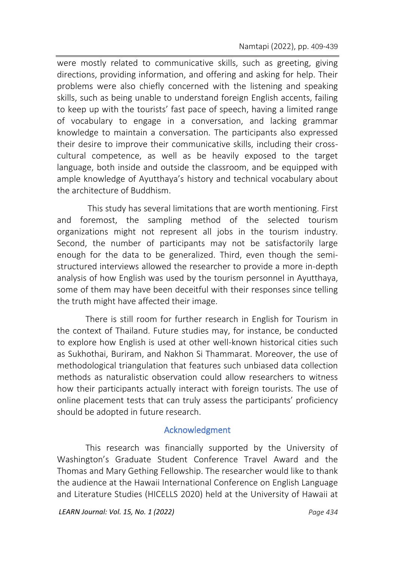were mostly related to communicative skills, such as greeting, giving directions, providing information, and offering and asking for help. Their problems were also chiefly concerned with the listening and speaking skills, such as being unable to understand foreign English accents, failing to keep up with the tourists' fast pace of speech, having a limited range of vocabulary to engage in a conversation, and lacking grammar knowledge to maintain a conversation. The participants also expressed their desire to improve their communicative skills, including their crosscultural competence, as well as be heavily exposed to the target language, both inside and outside the classroom, and be equipped with ample knowledge of Ayutthaya's history and technical vocabulary about the architecture of Buddhism.

This study has several limitations that are worth mentioning. First and foremost, the sampling method of the selected tourism organizations might not represent all jobs in the tourism industry. Second, the number of participants may not be satisfactorily large enough for the data to be generalized. Third, even though the semistructured interviews allowed the researcher to provide a more in-depth analysis of how English was used by the tourism personnel in Ayutthaya, some of them may have been deceitful with their responses since telling the truth might have affected their image.

There is still room for further research in English for Tourism in the context of Thailand. Future studies may, for instance, be conducted to explore how English is used at other well-known historical cities such as Sukhothai, Buriram, and Nakhon Si Thammarat. Moreover, the use of methodological triangulation that features such unbiased data collection methods as naturalistic observation could allow researchers to witness how their participants actually interact with foreign tourists. The use of online placement tests that can truly assess the participants' proficiency should be adopted in future research.

### Acknowledgment

This research was financially supported by the University of Washington's Graduate Student Conference Travel Award and the Thomas and Mary Gething Fellowship. The researcher would like to thank the audience at the Hawaii International Conference on English Language and Literature Studies (HICELLS 2020) held at the University of Hawaii at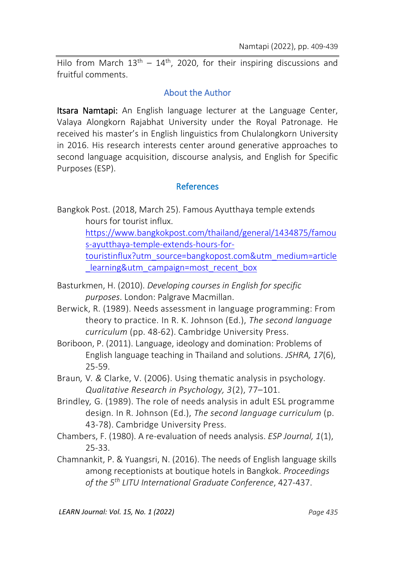Hilo from March  $13<sup>th</sup> - 14<sup>th</sup>$ , 2020, for their inspiring discussions and fruitful comments.

### About the Author

Itsara Namtapi: An English language lecturer at the Language Center, Valaya Alongkorn Rajabhat University under the Royal Patronage. He received his master's in English linguistics from Chulalongkorn University in 2016. His research interests center around generative approaches to second language acquisition, discourse analysis, and English for Specific Purposes (ESP).

### References

Bangkok Post. (2018, March 25). Famous Ayutthaya temple extends hours for tourist influx.

> [https://www.bangkokpost.com/thailand/general/1434875/famou](https://www.bangkokpost.com/thailand/general/1434875/famous-ayutthaya-temple-extends-hours-for-touristinflux?utm_source=bangkopost.com&utm_medium=article_learning&utm_campaign=most_recent_box) [s-ayutthaya-temple-extends-hours-for-](https://www.bangkokpost.com/thailand/general/1434875/famous-ayutthaya-temple-extends-hours-for-touristinflux?utm_source=bangkopost.com&utm_medium=article_learning&utm_campaign=most_recent_box)

> [touristinflux?utm\\_source=bangkopost.com&utm\\_medium=article](https://www.bangkokpost.com/thailand/general/1434875/famous-ayutthaya-temple-extends-hours-for-touristinflux?utm_source=bangkopost.com&utm_medium=article_learning&utm_campaign=most_recent_box) learning&utm\_campaign=most\_recent\_box

- Basturkmen, H. (2010). *Developing courses in English for specific purposes*. London: Palgrave Macmillan.
- Berwick, R. (1989). Needs assessment in language programming: From theory to practice. In R. K. Johnson (Ed.), *The second language curriculum* (pp. 48-62). Cambridge University Press.
- Boriboon, P. (2011). Language, ideology and domination: Problems of English language teaching in Thailand and solutions. *JSHRA, 17*(6), 25-59.
- Braun*,* V*. &* Clarke, V. (2006). Using thematic analysis in psychology. *Qualitative Research in Psychology, 3*(2), 77–101.
- Brindley*,* G. (1989). The role of needs analysis in adult ESL programme design. In R. Johnson (Ed.), *The second language curriculum* (p. 43-78). Cambridge University Press.
- Chambers, F. (1980). A re-evaluation of needs analysis. *ESP Journal, 1*(1), 25-33.
- Chamnankit, P. & Yuangsri, N. (2016). The needs of English language skills among receptionists at boutique hotels in Bangkok. *Proceedings of the 5th LITU International Graduate Conference*, 427-437.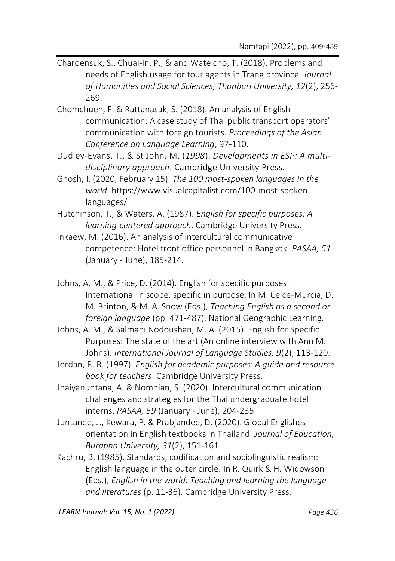- Charoensuk, S., Chuai-in, P., & and Wate cho, T. (2018). Problems and needs of English usage for tour agents in Trang province. *Journal of Humanities and Social Sciences, Thonburi University, 12*(2), 256- 269.
- Chomchuen, F. & Rattanasak, S. (2018). An analysis of English communication: A case study of Thai public transport operators' communication with foreign tourists. *Proceedings of the Asian Conference on Language Learning*, 97-110.
- Dudley*-*Evans, T., & St John, M. (*1998*). *Developments in ESP: A multidisciplinary approach*. Cambridge University Press.
- Ghosh, I. (2020, February 15). *The 100 most-spoken languages in the world*. https://www.visualcapitalist.com/100-most-spokenlanguages/
- Hutchinson, T., & Waters, A. (1987). *English for specific purposes: A learning-centered approach*. Cambridge University Press.
- Inkaew, M. (2016). An analysis of intercultural communicative competence: Hotel front office personnel in Bangkok. *PASAA, 51* (January - June), 185-214.
- Johns, A. M., & Price, D. (2014). English for specific purposes: International in scope, specific in purpose. In M. Celce-Murcia, D. M. Brinton, & M. A. Snow (Eds.), *Teaching English as a second or foreign language* (pp. 471-487). National Geographic Learning.
- Johns, A. M., & Salmani Nodoushan, M. A. (2015). English for Specific Purposes: The state of the art (An online interview with Ann M. Johns). *International Journal of Language Studies, 9*(2), 113-120.
- Jordan, R. R. (1997). *English for academic purposes: A guide and resource book for teachers*. Cambridge University Press.
- Jhaiyanuntana, A. & Nomnian, S. (2020). Intercultural communication challenges and strategies for the Thai undergraduate hotel interns. *PASAA, 59* (January - June), 204-235.
- Juntanee, J., Kewara, P. & Prabjandee, D. (2020). Global Englishes orientation in English textbooks in Thailand. *Journal of Education, Burapha University, 31*(2), 151-161.
- Kachru, B. (1985). Standards, codification and sociolinguistic realism: English language in the outer circle. In R. Quirk & H. Widowson (Eds.), *English in the world: Teaching and learning the language and literatures* (p. 11-36). Cambridge University Press.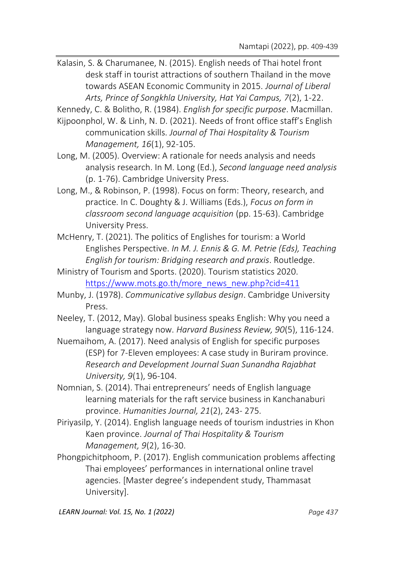Kalasin, S. & Charumanee, N. (2015). English needs of Thai hotel front desk staff in tourist attractions of southern Thailand in the move towards ASEAN Economic Community in 2015. *Journal of Liberal Arts, Prince of Songkhla University, Hat Yai Campus, 7*(2), 1-22.

Kennedy, C. & Bolitho, R. (1984). *English for specific purpose*. Macmillan.

- Kijpoonphol, W. & Linh, N. D. (2021). Needs of front office staff's English communication skills. *Journal of Thai Hospitality & Tourism Management, 16*(1), 92-105.
- Long, M. (2005). Overview: A rationale for needs analysis and needs analysis research. In M. Long (Ed.), *Second language need analysis* (p. 1-76). Cambridge University Press.
- Long, M., & Robinson, P. (1998). Focus on form: Theory, research, and practice. In C. Doughty & J. Williams (Eds.), *Focus on form in classroom second language acquisition* (pp. 15-63). Cambridge University Press.
- McHenry, T. (2021). The politics of Englishes for tourism: a World Englishes Perspective. *In M. J. Ennis & G. M. Petrie (Eds), Teaching English for tourism: Bridging research and praxis*. Routledge.
- Ministry of Tourism and Sports. (2020). Tourism statistics 2020. [https://www.mots.go.th/more\\_news\\_new.php?cid=411](https://www.mots.go.th/more_news_new.php?cid=411)
- Munby, J. (1978). *Communicative syllabus design*. Cambridge University Press.
- Neeley, T. (2012, May). Global business speaks English: Why you need a language strategy now. *Harvard Business Review, 90*(5), 116-124.
- Nuemaihom, A. (2017). Need analysis of English for specific purposes (ESP) for 7-Eleven employees: A case study in Buriram province. *Research and Development Journal Suan Sunandha Rajabhat University, 9*(1), 96-104.
- Nomnian, S. (2014). Thai entrepreneurs' needs of English language learning materials for the raft service business in Kanchanaburi province. *Humanities Journal, 21*(2), 243- 275.
- Piriyasilp, Y. (2014). English language needs of tourism industries in Khon Kaen province. *Journal of Thai Hospitality & Tourism Management, 9*(2), 16-30.
- Phongpichitphoom, P. (2017). English communication problems affecting Thai employees' performances in international online travel agencies. [Master degree's independent study, Thammasat University].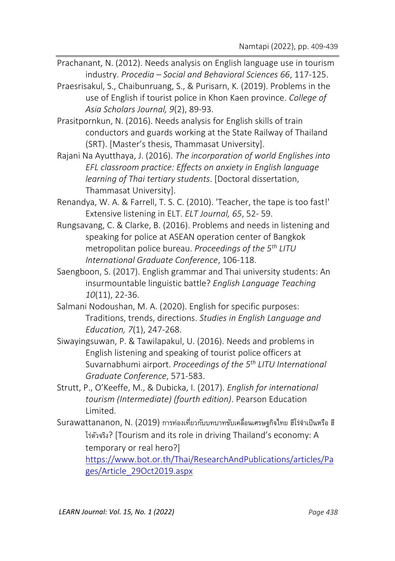- Prachanant, N. (2012). Needs analysis on English language use in tourism industry. *Procedia – Social and Behavioral Sciences 66*, 117-125.
- Praesrisakul, S., Chaibunruang, S., & Purisarn, K. (2019). Problems in the use of English if tourist police in Khon Kaen province. *College of Asia Scholars Journal, 9*(2), 89-93.
- Prasitpornkun, N. (2016). Needs analysis for English skills of train conductors and guards working at the State Railway of Thailand (SRT). [Master's thesis, Thammasat University].
- Rajani Na Ayutthaya, J. (2016). *The incorporation of world Englishes into EFL classroom practice: Effects on anxiety in English language learning of Thai tertiary students*. [Doctoral dissertation, Thammasat University].
- Renandya, W. A. & Farrell, T. S. C. (2010). 'Teacher, the tape is too fast!' Extensive listening in ELT. *ELT Journal, 65*, 52- 59.
- Rungsavang, C. & Clarke, B. (2016). Problems and needs in listening and speaking for police at ASEAN operation center of Bangkok metropolitan police bureau. *Proceedings of the 5th LITU International Graduate Conference*, 106-118.
- Saengboon, S. (2017). English grammar and Thai university students: An insurmountable linguistic battle? *English Language Teaching 10*(11), 22-36.
- Salmani Nodoushan, M. A. (2020). English for specific purposes: Traditions, trends, directions. *Studies in English Language and Education, 7*(1), 247-268.
- Siwayingsuwan, P. & Tawilapakul, U. (2016). Needs and problems in English listening and speaking of tourist police officers at Suvarnabhumi airport. *Proceedings of the 5th LITU International Graduate Conference*, 571-583.
- Strutt, P., O'Keeffe, M., & Dubicka, I. (2017). *English for international tourism (Intermediate) (fourth edition)*. Pearson Education Limited.
- Surawattananon, N. (2019) การท่องเที่ยวกับบทบาทขับเคลื่อนเศรษฐกิจไทย ฮีโร่จำเป็นหรือ ฮี โร่ตัวจริง? [Tourism and its role in driving Thailand's economy: A temporary or real hero?]

[https://www.bot.or.th/Thai/ResearchAndPublications/articles/Pa](https://www.bot.or.th/Thai/ResearchAndPublications/articles/Pages/Article_29Oct2019.aspx) [ges/Article\\_29Oct2019.aspx](https://www.bot.or.th/Thai/ResearchAndPublications/articles/Pages/Article_29Oct2019.aspx)